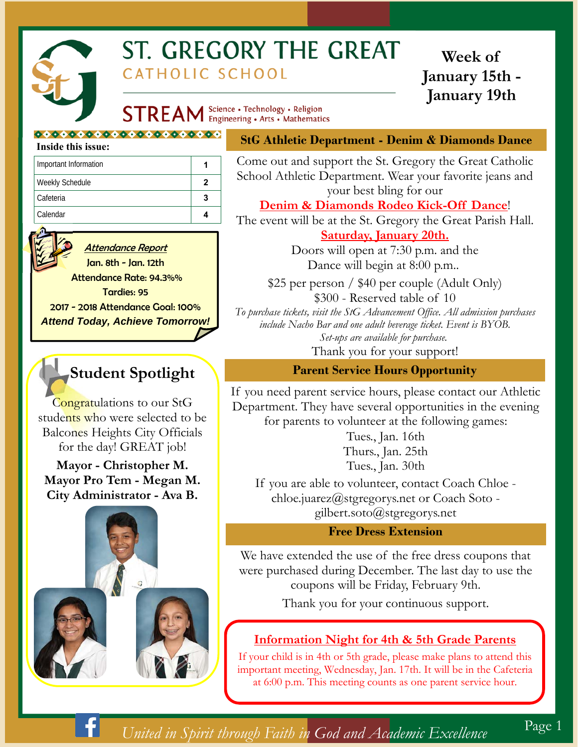

# ST. GREGORY THE GREAT CATHOLIC SCHOOL

## **Week of January 15th - January 19th**

**STREAM** Science · Technology · Religion

#### 0000000000000000000000000

#### **Inside this issue:**

| Important Information |   |
|-----------------------|---|
| Weekly Schedule       | 2 |
| Cafeteria             |   |
| Calendar              |   |



#### Attendance Report

Jan. 8th - Jan. 12th Attendance Rate: 94.3%% Tardies: 95 2017 - 2018 Attendance Goal: 100% *Attend Today, Achieve Tomorrow!* 

## **Student Spotlight**

Congratulations to our StG students who were selected to be Balcones Heights City Officials for the day! GREAT job!

**Mayor - Christopher M. Mayor Pro Tem - Megan M. City Administrator - Ava B.** 



#### **StG Athletic Department - Denim & Diamonds Dance**

Come out and support the St. Gregory the Great Catholic School Athletic Department. Wear your favorite jeans and your best bling for our

#### **Denim & Diamonds Rodeo Kick-Off Dance**!

The event will be at the St. Gregory the Great Parish Hall. **Saturday, January 20th.**  Doors will open at 7:30 p.m. and the

Dance will begin at 8:00 p.m..

\$25 per person / \$40 per couple (Adult Only) \$300 - Reserved table of 10 *To purchase tickets, visit the StG Advancement Office. All admission purchases include Nacho Bar and one adult beverage ticket. Event is BYOB. Set-ups are available for purchase.*  Thank you for your support!

#### **Parent Service Hours Opportunity**

If you need parent service hours, please contact our Athletic Department. They have several opportunities in the evening for parents to volunteer at the following games:

> Tues., Jan. 16th Thurs., Jan. 25th Tues., Jan. 30th

If you are able to volunteer, contact Coach Chloe chloe.juarez@stgregorys.net or Coach Soto gilbert.soto@stgregorys.net

#### **Free Dress Extension**

We have extended the use of the free dress coupons that were purchased during December. The last day to use the coupons will be Friday, February 9th.

Thank you for your continuous support.

#### **Information Night for 4th & 5th Grade Parents**

If your child is in 4th or 5th grade, please make plans to attend this important meeting, Wednesday, Jan. 17th. It will be in the Cafeteria at 6:00 p.m. This meeting counts as one parent service hour.

## *United in Spirit through Faith in God and Academic Excellence*

Page 1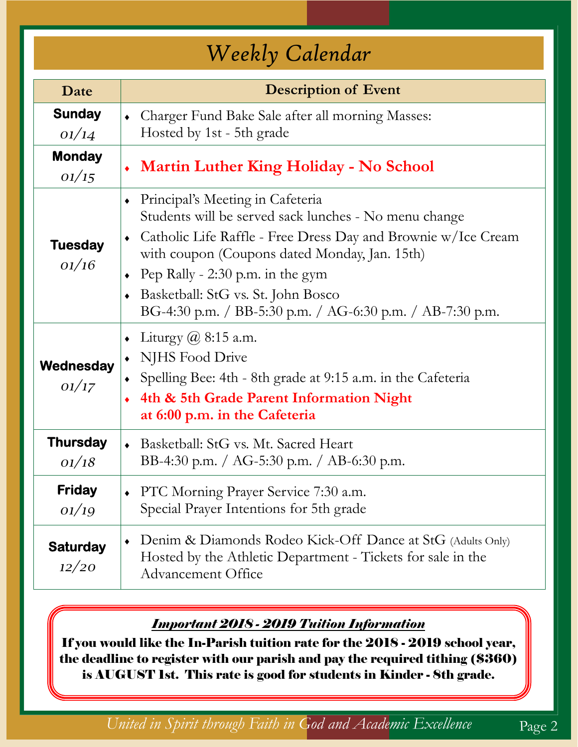# *Weekly Calendar*

| Date                                          | <b>Description of Event</b>                                                                                                                                                                                                                                                                                                                                                                                                                                                      |  |  |  |  |
|-----------------------------------------------|----------------------------------------------------------------------------------------------------------------------------------------------------------------------------------------------------------------------------------------------------------------------------------------------------------------------------------------------------------------------------------------------------------------------------------------------------------------------------------|--|--|--|--|
| <b>Sunday</b><br>01/14                        | Charger Fund Bake Sale after all morning Masses:<br>$\blacklozenge$<br>Hosted by 1st - 5th grade                                                                                                                                                                                                                                                                                                                                                                                 |  |  |  |  |
| <b>Monday</b><br>01/15                        | • Martin Luther King Holiday - No School                                                                                                                                                                                                                                                                                                                                                                                                                                         |  |  |  |  |
| <b>Tuesday</b><br>01/16<br>Wednesday<br>01/17 | Principal's Meeting in Cafeteria<br>Students will be served sack lunches - No menu change<br>Catholic Life Raffle - Free Dress Day and Brownie w/Ice Cream<br>with coupon (Coupons dated Monday, Jan. 15th)<br>Pep Rally - 2:30 p.m. in the gym<br>Basketball: StG vs. St. John Bosco<br>BG-4:30 p.m. / BB-5:30 p.m. / AG-6:30 p.m. / AB-7:30 p.m.<br>Liturgy $@$ 8:15 a.m.<br>$\blacklozenge$<br>NJHS Food Drive<br>Spelling Bee: 4th - 8th grade at 9:15 a.m. in the Cafeteria |  |  |  |  |
|                                               | 4th & 5th Grade Parent Information Night<br>at 6:00 p.m. in the Cafeteria                                                                                                                                                                                                                                                                                                                                                                                                        |  |  |  |  |
| <b>Thursday</b><br>01/18                      | Basketball: StG vs. Mt. Sacred Heart<br>$\bullet$<br>BB-4:30 p.m. / AG-5:30 p.m. / AB-6:30 p.m.                                                                                                                                                                                                                                                                                                                                                                                  |  |  |  |  |
| <b>Friday</b><br>01/19                        | PTC Morning Prayer Service 7:30 a.m.<br>Special Prayer Intentions for 5th grade                                                                                                                                                                                                                                                                                                                                                                                                  |  |  |  |  |
| <b>Saturday</b><br>12/20                      | Denim & Diamonds Rodeo Kick-Off Dance at StG (Adults Only)<br>$\bullet$<br>Hosted by the Athletic Department - Tickets for sale in the<br><b>Advancement Office</b>                                                                                                                                                                                                                                                                                                              |  |  |  |  |

### *Important 2018 - 2019 Tuition Information*

If you would like the In-Parish tuition rate for the 2018 - 2019 school year, the deadline to register with our parish and pay the required tithing (\$360) is AUGUST 1st. This rate is good for students in Kinder - 8th grade.

*United in Spirit through Faith in God and Academic Excellence* Page 2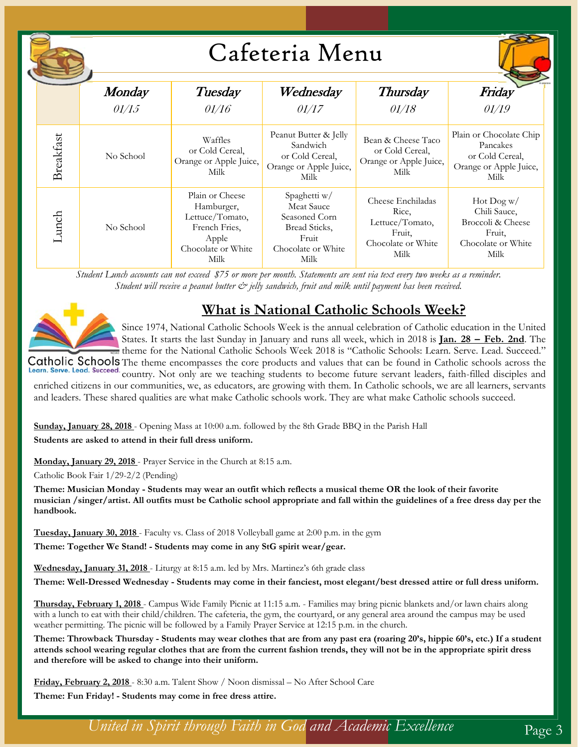|  |           |                        |                                                                                                          | Cafeteria Menu                                                                                      |                                                                                       |                                                                                             |
|--|-----------|------------------------|----------------------------------------------------------------------------------------------------------|-----------------------------------------------------------------------------------------------------|---------------------------------------------------------------------------------------|---------------------------------------------------------------------------------------------|
|  |           | <b>Monday</b><br>01/15 | Tuesday<br>01/16                                                                                         | Wednesday<br>01/17                                                                                  | <b>Thursday</b><br>01/18                                                              | Friday<br>01/19                                                                             |
|  | Breakfast | No School              | Waffles<br>or Cold Cereal,<br>Orange or Apple Juice,<br>Milk                                             | Peanut Butter & Jelly<br>Sandwich<br>or Cold Cereal,<br>Orange or Apple Juice,<br>Milk              | Bean & Cheese Taco<br>or Cold Cereal,<br>Orange or Apple Juice,<br>Milk               | Plain or Chocolate Chip<br>Pancakes<br>or Cold Cereal,<br>Orange or Apple Juice,<br>Milk    |
|  | Lunch     | No School              | Plain or Cheese<br>Hamburger,<br>Lettuce/Tomato,<br>French Fries,<br>Apple<br>Chocolate or White<br>Milk | Spaghetti w/<br>Meat Sauce<br>Seasoned Corn<br>Bread Sticks,<br>Fruit<br>Chocolate or White<br>Milk | Cheese Enchiladas<br>Rice,<br>Lettuce/Tomato,<br>Fruit,<br>Chocolate or White<br>Milk | $Hot$ $Dog$ w/<br>Chili Sauce,<br>Broccoli & Cheese<br>Fruit,<br>Chocolate or White<br>Milk |

*Student Lunch accounts can not exceed \$75 or more per month. Statements are sent via text every two weeks as a reminder. Student will receive a peanut butter & jelly sandwich, fruit and milk until payment has been received.* 



### **What is National Catholic Schools Week?**

Since 1974, National Catholic Schools Week is the annual celebration of Catholic education in the United States. It starts the last Sunday in January and runs all week, which in 2018 is **Jan. 28 – Feb. 2nd**. The theme for the National Catholic Schools Week 2018 is "Catholic Schools: Learn. Serve. Lead. Succeed." Catholic Schools The theme encompasses the core products and values that can be found in Catholic schools across the

Learn. Serve. Lead. Succeed. country. Not only are we teaching students to become future servant leaders, faith-filled disciples and

enriched citizens in our communities, we, as educators, are growing with them. In Catholic schools, we are all learners, servants and leaders. These shared qualities are what make Catholic schools work. They are what make Catholic schools succeed.

**Sunday, January 28, 2018** - Opening Mass at 10:00 a.m. followed by the 8th Grade BBQ in the Parish Hall **Students are asked to attend in their full dress uniform.** 

**Monday, January 29, 2018** - Prayer Service in the Church at 8:15 a.m.

Catholic Book Fair 1/29-2/2 (Pending)

**Theme: Musician Monday - Students may wear an outfit which reflects a musical theme OR the look of their favorite musician /singer/artist. All outfits must be Catholic school appropriate and fall within the guidelines of a free dress day per the handbook.** 

**Tuesday, January 30, 2018** - Faculty vs. Class of 2018 Volleyball game at 2:00 p.m. in the gym

**Theme: Together We Stand! - Students may come in any StG spirit wear/gear.** 

**Wednesday, January 31, 2018** - Liturgy at 8:15 a.m. led by Mrs. Martinez's 6th grade class

**Theme: Well-Dressed Wednesday - Students may come in their fanciest, most elegant/best dressed attire or full dress uniform.** 

**Thursday, February 1, 2018** - Campus Wide Family Picnic at 11:15 a.m. - Families may bring picnic blankets and/or lawn chairs along with a lunch to eat with their child/children. The cafeteria, the gym, the courtyard, or any general area around the campus may be used weather permitting. The picnic will be followed by a Family Prayer Service at 12:15 p.m. in the church.

**Theme: Throwback Thursday - Students may wear clothes that are from any past era (roaring 20's, hippie 60's, etc.) If a student attends school wearing regular clothes that are from the current fashion trends, they will not be in the appropriate spirit dress and therefore will be asked to change into their uniform.** 

**Friday, February 2, 2018** - 8:30 a.m. Talent Show / Noon dismissal – No After School Care

**Theme: Fun Friday! - Students may come in free dress attire.** 

*United in Spirit through Faith in God and Academic Excellence* Page 3